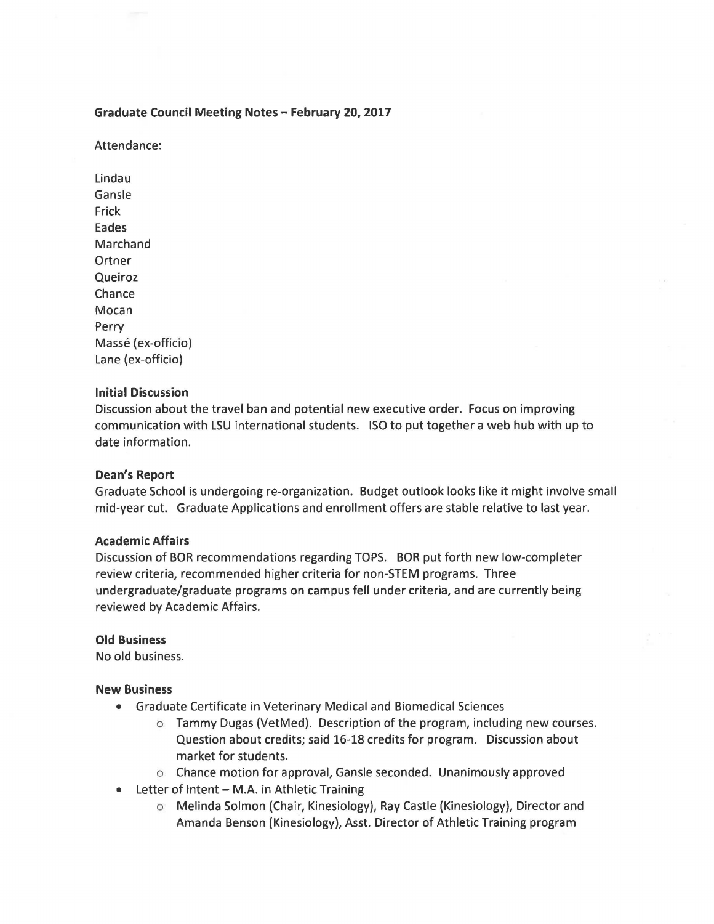## **Graduate Council Meeting Notes- February 20, 2017**

Attendance:

Lindau Gansle Frick Eades Marchand **Ortner** Queiroz Chance Mocan Perry Massé (ex-officio) Lane (ex-officio)

## **Initial Discussion**

Discussion about the travel ban and potential new executive order. Focus on improving communication with LSU international students. ISO to put together a web hub with up to date information.

## **Dean's Report**

Graduate School is undergoing re-organization. Budget outlook looks like it might involve small mid-year cut. Graduate Applications and enrollment offers are stable relative to last year.

#### **Academic Affairs**

Discussion of BOR recommendations regarding TOPS. BOR put forth new low-completer review criteria, recommended higher criteria for non-STEM programs. Three undergraduate/graduate programs on campus fell under criteria, and are currently being reviewed by Academic Affairs.

#### **Old Business**

No old business.

#### **New Business**

- Graduate Certificate in Veterinary Medical and Biomedical Sciences
	- $\circ$  Tammy Dugas (VetMed). Description of the program, including new courses. Question about credits; said 16-18 credits for program. Discussion about market for students.
	- o Chance motion for approval, Gansle seconded. Unanimously approved
- Letter of Intent M.A. in Athletic Training
	- o Melinda Solman (Chair, Kinesiology), Ray Castle (Kinesiology), Director and Amanda Benson (Kinesiology), Asst. Director of Athletic Training program